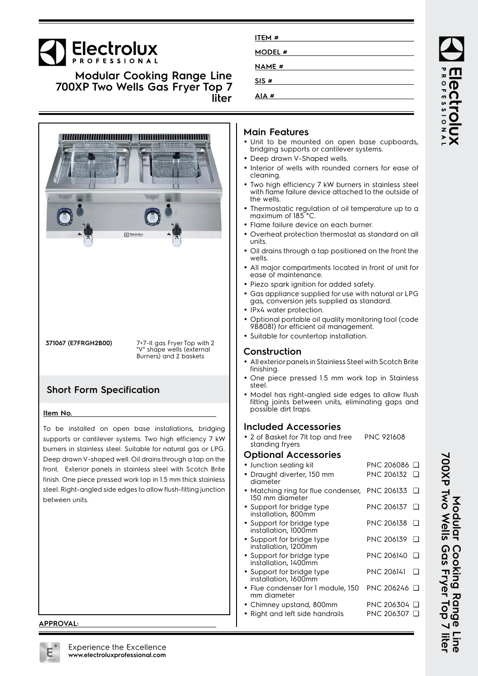# **Electrolux**

**Modular Cooking Range Line 700XP Two Wells Gas Fryer Top 7 liter**



**371067 (E7FRGH2B00)** 7+7-lt gas Fryer Top with 2 "V" shape wells (external Burners) and 2 baskets

### **Short Form Specification**

#### **Item No.**

To be installed on open base installations, bridging supports or cantilever systems. Two high efficiency 7 kW burners in stainless steel. Suitable for natural gas or LPG. Deep drawn V-shaped well. Oil drains through a tap on the front. Exterior panels in stainless steel with Scotch Brite finish. One piece pressed work top in 1.5 mm thick stainless steel. Right-angled side edges to allow flush-fitting junction between units.

#### **APPROVAL:**

| ITEM #        |  |
|---------------|--|
| MODEL #       |  |
| <b>NAME #</b> |  |
| SIS#          |  |
| AIA#          |  |
|               |  |

#### **Main Features**

- Unit to be mounted on open base cupboards, bridging supports or cantilever systems.
- Deep drawn V-Shaped wells.
- Interior of wells with rounded corners for ease of cleaning.
- • Two high efficiency 7 kW burners in stainless steel with flame failure device attached to the outside of the wells.
- Thermostatic regulation of oil temperature up to a maximum of 185°C
- Flame failure device on each burner.
- Overheat protection thermostat as standard on all units.
- Oil drains through a tap positioned on the front the wells.
- All major compartments located in front of unit for ease of maintenance.
- Piezo spark ignition for added safety.
- Gas appliance supplied for use with natural or LPG gas, conversion jets supplied as standard.
- •IPx4 water protection.
- • Optional portable oil quality monitoring tool (code 9B8081) for efficient oil management.
- Suitable for countertop installation.

#### **Construction**

- • All exterior panels in Stainless Steel with Scotch Brite finishing.
- • One piece pressed 1.5 mm work top in Stainless steel.
- • Model has right-angled side edges to allow flush fitting joints between units, eliminating gaps and possible dirt traps.

#### **Included Accessories**

• 2 of Basket for 7lt top and free standing fryers PNC 921608

#### **Optional Accessories**

| • Junction sealing kit                                      | PNC 206086 □                |
|-------------------------------------------------------------|-----------------------------|
| · Draught diverter, 150 mm<br>diameter                      | PNC 206132                  |
| • Matching ring for flue condenser,<br>150 mm diameter      | PNC 206133                  |
| • Support for bridge type<br>installation, 800mm            | PNC 206137                  |
| • Support for bridge type<br>installation, 1000mm           | PNC 206138                  |
| • Support for bridge type<br>installation, 1200mm           | PNC 206139                  |
| • Support for bridge type<br>installation, 1400mm           | PNC 206140                  |
| • Support for bridge type<br>installation, 1600mm           | PNC 206141                  |
| • Flue condenser for 1 module, 150<br>mm diameter           | PNC 206246 □                |
| • Chimney upstand, 800mm<br>• Right and left side handrails | PNC 206304  ❑<br>PNC 206307 |
|                                                             |                             |

**700XP Two Wells Gas Fryer Top 7 liter** Modular Cooking Range Line<br>700XP Two Wells Gas Fryer Top 7 liter **Modular Cooking Range Line**

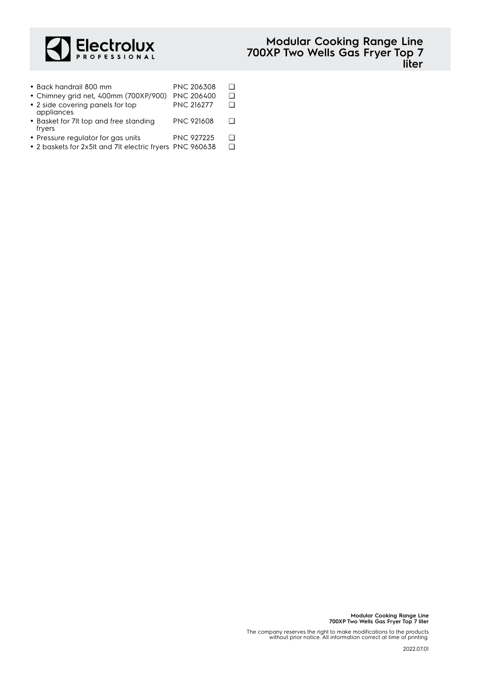

| • Back handrail 800 mm                           | <b>PNC 206308</b> | П |
|--------------------------------------------------|-------------------|---|
| • Chimney grid net, 400mm (700XP/900)            | <b>PNC 206400</b> | П |
| • 2 side covering panels for top<br>appliances   | <b>PNC 216277</b> | П |
| • Basket for 7lt top and free standing<br>fryers | <b>PNC 921608</b> | П |

- Pressure regulator for gas units PNC 927225 Q
- 2 baskets for 2x5lt and 7lt electric fryers PNC 960638 ❑

**Modular Cooking Range Line 700XP Two Wells Gas Fryer Top 7 liter**